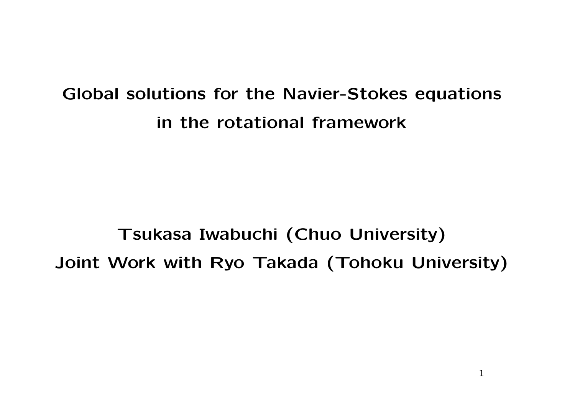## Global solutions for the Navier-Stokes equations in the rotational framework

# Tsukasa Iwabuchi (Chuo University) Joint Work with Ryo Takada (Tohoku University)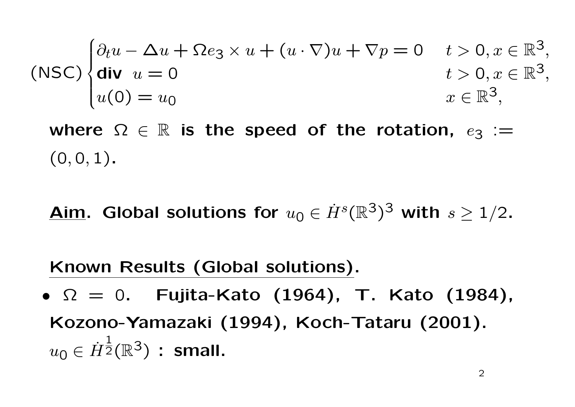$$
\begin{cases} \partial_t u - \Delta u + \Omega e_3 \times u + (u \cdot \nabla) u + \nabla p = 0 & t > 0, x \in \mathbb{R}^3, \\ \text{div } u = 0 & t > 0, x \in \mathbb{R}^3, \\ u(0) = u_0 & x \in \mathbb{R}^3, \end{cases}
$$

where  $\Omega \in \mathbb{R}$  is the speed of the rotation,  $e_3 :=$  $(0, 0, 1).$ 

Aim. Global solutions for  $u_0 \in \dot{H}^s(\mathbb{R}^3)^3$  with  $s > 1/2$ .

#### Known Results (Global solutions).

•  $\Omega = 0$ . Fujita-Kato (1964), T. Kato (1984), Kozono-Yamazaki (1994), Koch-Tataru (2001).  $u_0 \in \dot{H}^{\frac{1}{2}}(\mathbb{R}^3)$  : small.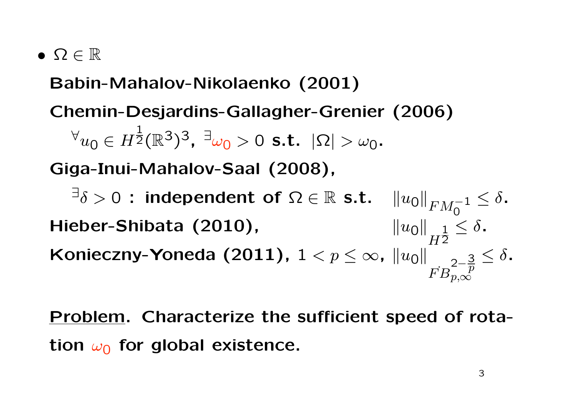•  $\Omega \in \mathbb{R}$ 

## Babin-Mahalov-Nikolaenko (2001)

Chemin-Desjardins-Gallagher-Grenier (2006)

 $\mathbb{V}u_0 \in H$  $\frac{1}{2}(\mathbb{R}^3)^3$ ,  $\exists \omega_0>0$  s.t.  $|\Omega|>\omega_0$ .

Giga-Inui-Mahalov-Saal (2008),

 $\exists \delta > 0$  : independent of  $\Omega \in \mathbb{R}$  s.t. 0  $\leq \delta$ . Hieber-Shibata (2010), *H* 1  $\frac{1}{2} \leq \delta$ . Konieczny-Yoneda (2011),  $1 < p \leq \infty$ ,  $||u_0||$  $F B_{p,\infty}^{2-\frac{3}{p}}$ *p*  $p,\infty$  $\leq \delta$ .

Problem. Characterize the sufficient speed of rotation  $\omega_0$  for global existence.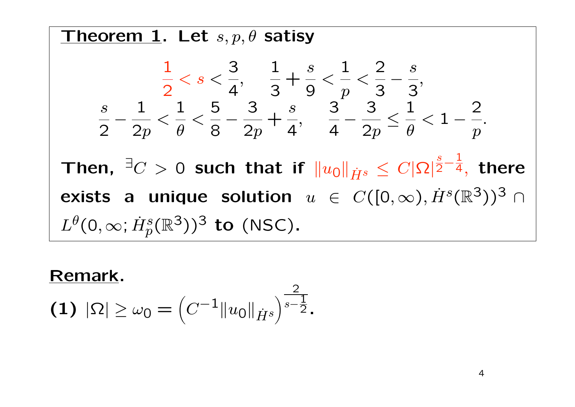| Theorem 1. Let $s, p, \theta$ satisfy                                                                                                                                                                                                                      |  |
|------------------------------------------------------------------------------------------------------------------------------------------------------------------------------------------------------------------------------------------------------------|--|
| $\frac{1}{2} < s < \frac{3}{4}, \frac{1}{3} + \frac{s}{9} < \frac{1}{2} < \frac{2}{3} - \frac{s}{3},$                                                                                                                                                      |  |
| $\frac{s}{2} - \frac{1}{2p} < \frac{1}{\theta} < \frac{5}{8} - \frac{3}{2p} + \frac{s}{4}, \frac{3}{4} - \frac{3}{2p} \leq \frac{1}{\theta} < 1 - \frac{2}{p}.$                                                                                            |  |
| Then, $\exists C > 0$ such that if $  u_0  _{\dot{H}^s} \leq C \Omega ^{\frac{s}{2} - \frac{1}{4}}$ , there exists a unique solution $u \in C([0, \infty), \dot{H}^s(\mathbb{R}^3))^3 \cap L^{\theta}(0, \infty; \dot{H}^s_p(\mathbb{R}^3))^3$ to (NSC).\n |  |

### Remark.

(1) 
$$
|\Omega| \ge \omega_0 = \left(C^{-1} \|u_0\|_{\dot{H}^s}\right)^{\frac{2}{s-\frac{1}{2}}}.
$$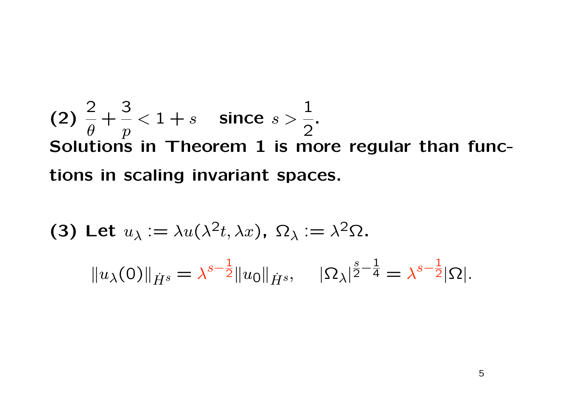(2)  $\frac{2}{\theta} + \frac{3}{p}$  $<$  1 + *s* since *s* > 1 2 . Solutions in Theorem 1 is more regular than functions in scaling invariant spaces.

(3) Let 
$$
u_{\lambda} := \lambda u(\lambda^2 t, \lambda x)
$$
,  $\Omega_{\lambda} := \lambda^2 \Omega$ .  
\n
$$
||u_{\lambda}(0)||_{\dot{H}^s} = \lambda^{s-\frac{1}{2}} ||u_0||_{\dot{H}^s}, \quad |\Omega_{\lambda}|^{\frac{s}{2}-\frac{1}{4}} = \lambda^{s-\frac{1}{2}} |\Omega|.
$$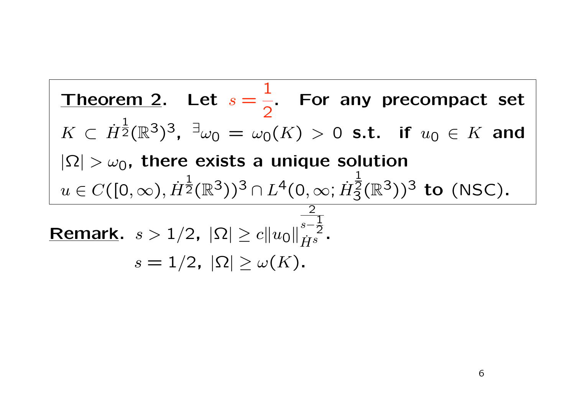$Theorem 2. Let  $s =$$ </u> 1 2 . For any precompact set  $K \subset \dot{H}^{\frac{1}{2}}(\mathbb{R}^3)^3$ ,  $\exists \omega_0 = \omega_0(K) > 0$  s.t. if  $u_0 \in K$  and  $|\Omega| > \omega_0$ , there exists a unique solution  $u \in C([0,\infty), \dot{H}^{\frac{1}{2}}(\mathbb{R}^3))^3 \cap L^4(0,\infty; \dot{H}$ 1  $(\frac{2}{3}(\mathbb{R}^3))^3$  to (NSC). **Remark.**  $s > 1/2$ ,  $|\Omega| \ge c \|u_0\|$ 2  $\frac{1}{s-{\overline{2}}}$ <br> $\dot{H}^s$  .  $s = 1/2, |\Omega| > \omega(K)$ .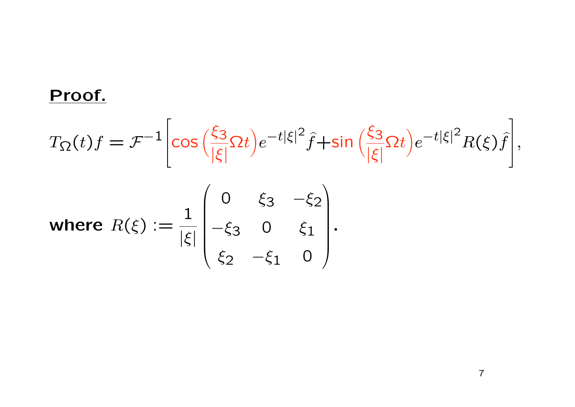## Proof.

$$
T_{\Omega}(t)f = \mathcal{F}^{-1}\left[\cos\left(\frac{\xi_3}{|\xi|}\Omega t\right)e^{-t|\xi|^2}\hat{f} + \sin\left(\frac{\xi_3}{|\xi|}\Omega t\right)e^{-t|\xi|^2}R(\xi)\hat{f}\right],
$$
  
where  $R(\xi) := \frac{1}{|\xi|}\begin{pmatrix} 0 & \xi_3 & -\xi_2 \\ -\xi_3 & 0 & \xi_1 \\ \xi_2 & -\xi_1 & 0 \end{pmatrix}.$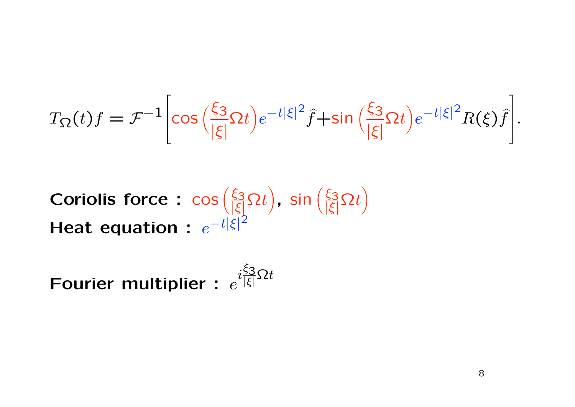$$
T_{\Omega}(t)f = \mathcal{F}^{-1}\left[\cos\left(\frac{\xi_3}{|\xi|}\Omega t\right)e^{-t|\xi|^2}\hat{f} + \sin\left(\frac{\xi_3}{|\xi|}\Omega t\right)e^{-t|\xi|^2}R(\xi)\hat{f}\right].
$$

Coriolis force :  $cos(\frac{\xi_3}{|\xi|})$ *|*⇠*|* ⌦*t* ),  $sin\left(\frac{\xi_3}{|\xi|}\right)$ *|*⇠*|* ⌦*t* ◆ Heat equation :  $e^{-t|\xi|^2}$ 

Fourier multiplier : *e*  $i\frac{\xi_3}{|\xi|}$ *|*⇠*|* ⌦*t*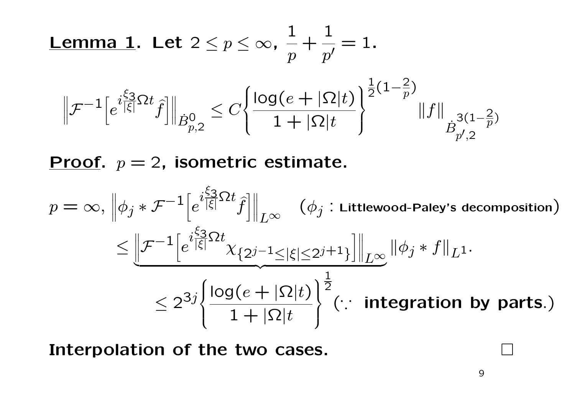**Lemma 1.** Let 
$$
2 \le p \le \infty
$$
,  $\frac{1}{p} + \frac{1}{p'} = 1$ .  

$$
\left\| \mathcal{F}^{-1} \left[ e^{i \frac{\xi_3}{|\xi|} \Omega t} \hat{f} \right] \right\|_{\dot{B}^0_{p,2}} \le C \left\{ \frac{\log(e + |\Omega|t)}{1 + |\Omega|t} \right\}^{\frac{1}{2}(1 - \frac{2}{p})} \|f\|_{\dot{B}^{3(1 - \frac{2}{p})}_{p',2}}
$$

Proof.  $p = 2$ , isometric estimate.

$$
p = \infty, \left\| \phi_j * \mathcal{F}^{-1} \Big[ e^{i \frac{\xi_3}{|\xi|} \Omega t} \widehat{f} \Big] \right\|_{L^{\infty}} \quad (\phi_j : \text{Littlewood-Paley's decomposition})
$$
  

$$
\leq \underbrace{\left\| \mathcal{F}^{-1} \Big[ e^{i \frac{\xi_3}{|\xi|} \Omega t} \chi_{\{2^{j-1} \leq |\xi| \leq 2^{j+1} \}} \Big] \right\|_{L^{\infty}} \left\| \phi_j * f \right\|_{L^1} .
$$
  

$$
\leq 2^{3j} \left\{ \frac{\log(e + |\Omega|t)}{1 + |\Omega|t} \right\}^{\frac{1}{2}} (\because \text{ integration by parts.})
$$

Interpolation of the two cases.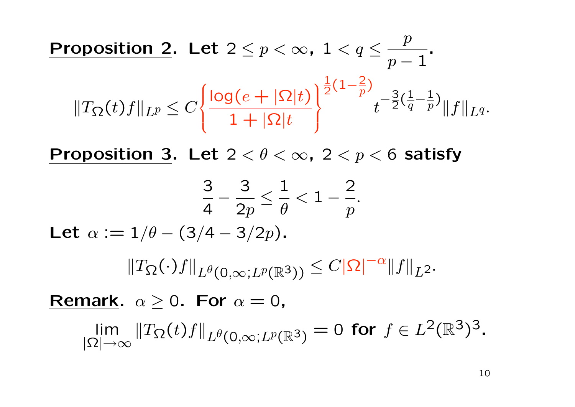**Proposition 2.** Let 
$$
2 \le p < \infty
$$
,  $1 < q \le \frac{p}{p-1}$ .  
\n
$$
||T_{\Omega}(t)f||_{L^{p}} \le C \left\{ \frac{\log(e+|\Omega|t)}{1+|\Omega|t} \right\}^{\frac{1}{2}(1-\frac{2}{p})} t^{-\frac{3}{2}(\frac{1}{q}-\frac{1}{p})} ||f||_{L^{q}}.
$$

Proposition 3. Let  $2 < \theta < \infty$ ,  $2 < p < 6$  satisfy

$$
\frac{3}{4} - \frac{3}{2p} \le \frac{1}{\theta} < 1 - \frac{2}{p}.
$$
  
Let  $\alpha := 1/\theta - (3/4 - 3/2p).$ 

$$
||T_{\Omega}(\cdot)f||_{L^{\theta}(0,\infty;L^p(\mathbb{R}^3))} \leq C|\Omega|^{-\alpha}||f||_{L^2}.
$$

Remark.  $\alpha \geq 0$ . For  $\alpha = 0$ ,

$$
\lim_{|\Omega| \to \infty} ||T_{\Omega}(t)f||_{L^{\theta}(0,\infty;L^p(\mathbb{R}^3))} = 0 \text{ for } f \in L^2(\mathbb{R}^3)^3.
$$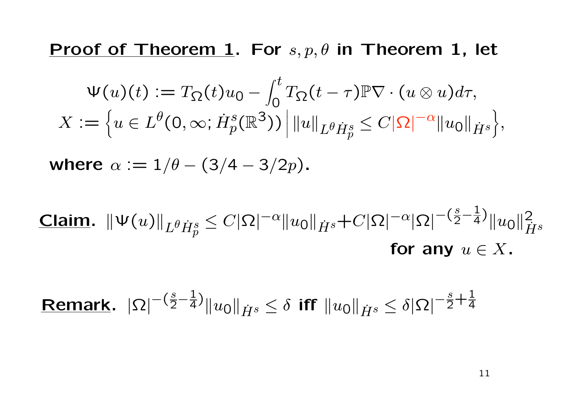**Proof of Theorem 1. For**  $s, p, \theta$  in Theorem 1, let

$$
\Psi(u)(t) := T_{\Omega}(t)u_0 - \int_0^t T_{\Omega}(t-\tau)\mathbb{P}\nabla \cdot (u\otimes u)d\tau,
$$
  

$$
X := \left\{u \in L^{\theta}(0,\infty; \dot{H}_p^s(\mathbb{R}^3)) \Big| ||u||_{L^{\theta}\dot{H}_p^s} \leq C|\Omega|^{-\alpha} ||u_0||_{\dot{H}^s}\right\},
$$

where  $\alpha := 1/\theta - (3/4 - 3/2p)$ .

**Claim.** 
$$
\|\Psi(u)\|_{L^{\theta}\dot{H}^{s}_{p}} \leq C|\Omega|^{-\alpha} \|u_0\|_{\dot{H}^{s}} + C|\Omega|^{-\alpha}|\Omega|^{-\left(\frac{s}{2}-\frac{1}{4}\right)}\|u_0\|_{\dot{H}^{s}}^{2}
$$
  
for any  $u \in X$ .

**Remark.** 
$$
|\Omega|^{-\left(\frac{s}{2}-\frac{1}{4}\right)}\|u_0\|_{\dot{H}^s} \le \delta
$$
 iff  $\|u_0\|_{\dot{H}^s} \le \delta |\Omega|^{-\frac{s}{2}+\frac{1}{4}}$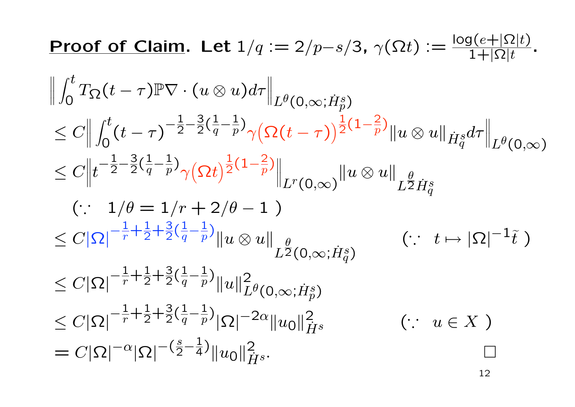Proof of Claim. Let 
$$
1/q := 2/p-s/3
$$
,  $\gamma(\Omega t) := \frac{\log(e+|\Omega|t)}{1+|\Omega|t}$ .  
\n
$$
\left\| \int_0^t T_{\Omega}(t-\tau) \mathbb{P} \nabla \cdot (u \otimes u) d\tau \right\|_{L^{\theta}(0,\infty; \dot{H}^s_p)}
$$
\n
$$
\leq C \left\| \int_0^t (t-\tau)^{-\frac{1}{2}-\frac{3}{2}(\frac{1}{q}-\frac{1}{p})} \gamma(\Omega(t-\tau))^{\frac{1}{2}(1-\frac{2}{p})} \|u \otimes u\|_{\dot{H}^s_q} d\tau \right\|_{L^{\theta}(0,\infty)}
$$
\n
$$
\leq C \left\| t^{-\frac{1}{2}-\frac{3}{2}(\frac{1}{q}-\frac{1}{p})} \gamma(\Omega t)^{\frac{1}{2}(1-\frac{2}{p})} \right\|_{L^r(0,\infty)} \|u \otimes u\|_{L^{\frac{\theta}{2}}\dot{H}^s_q}
$$
\n
$$
(\because 1/\theta = 1/r + 2/\theta - 1)
$$
\n
$$
\leq C |\Omega|^{-\frac{1}{r} + \frac{1}{2} + \frac{3}{2}(\frac{1}{q} - \frac{1}{p})} \|u \otimes u\|_{L^{\frac{\theta}{2}}(0,\infty; \dot{H}^s_q)} \qquad (\because t \mapsto |\Omega|^{-1}\tilde{t})
$$
\n
$$
\leq C |\Omega|^{-\frac{1}{r} + \frac{1}{2} + \frac{3}{2}(\frac{1}{q} - \frac{1}{p})} \|u\|_{L^{\theta}(0,\infty; \dot{H}^s_p)}^2
$$
\n
$$
\leq C |\Omega|^{-\frac{1}{r} + \frac{1}{2} + \frac{3}{2}(\frac{1}{q} - \frac{1}{p})} |\Omega|^{-2\alpha} \|u_0\|_{\dot{H}^s}^2 \qquad (\because u \in X)
$$

 $= C|\Omega|^{-\alpha}|\Omega|^{-\left(\frac{s}{2}-\frac{1}{4}\right)}||u_0||_H^2$ ∠<br>*H*<sup>s.</sup> □